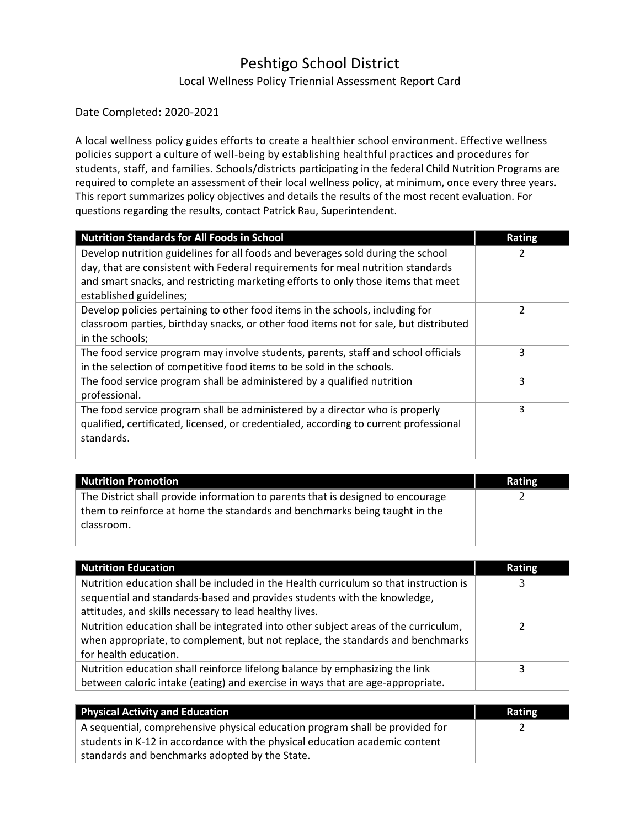# Peshtigo School District Local Wellness Policy Triennial Assessment Report Card

#### Date Completed: 2020-2021

A local wellness policy guides efforts to create a healthier school environment. Effective wellness policies support a culture of well-being by establishing healthful practices and procedures for students, staff, and families. Schools/districts participating in the federal Child Nutrition Programs are required to complete an assessment of their local wellness policy, at minimum, once every three years. This report summarizes policy objectives and details the results of the most recent evaluation. For questions regarding the results, contact Patrick Rau, Superintendent.

| <b>Nutrition Standards for All Foods in School</b>                                                           | <b>Rating</b> |
|--------------------------------------------------------------------------------------------------------------|---------------|
| Develop nutrition guidelines for all foods and beverages sold during the school                              |               |
| day, that are consistent with Federal requirements for meal nutrition standards                              |               |
| and smart snacks, and restricting marketing efforts to only those items that meet<br>established guidelines; |               |
| Develop policies pertaining to other food items in the schools, including for                                | 2             |
| classroom parties, birthday snacks, or other food items not for sale, but distributed                        |               |
| in the schools;                                                                                              |               |
| The food service program may involve students, parents, staff and school officials                           | 3             |
| in the selection of competitive food items to be sold in the schools.                                        |               |
| The food service program shall be administered by a qualified nutrition<br>professional.                     | 3             |
| The food service program shall be administered by a director who is properly                                 | 3             |
| qualified, certificated, licensed, or credentialed, according to current professional<br>standards.          |               |

| Nutrition Promotion                                                                                                                                                         | <b>Rating</b> |
|-----------------------------------------------------------------------------------------------------------------------------------------------------------------------------|---------------|
| The District shall provide information to parents that is designed to encourage<br>them to reinforce at home the standards and benchmarks being taught in the<br>classroom. |               |
|                                                                                                                                                                             |               |

| <b>Nutrition Education</b>                                                            | <b>Rating</b> |
|---------------------------------------------------------------------------------------|---------------|
| Nutrition education shall be included in the Health curriculum so that instruction is |               |
| sequential and standards-based and provides students with the knowledge,              |               |
| attitudes, and skills necessary to lead healthy lives.                                |               |
| Nutrition education shall be integrated into other subject areas of the curriculum,   |               |
| when appropriate, to complement, but not replace, the standards and benchmarks        |               |
| for health education.                                                                 |               |
| Nutrition education shall reinforce lifelong balance by emphasizing the link          | 3             |
| between caloric intake (eating) and exercise in ways that are age-appropriate.        |               |

| <b>Physical Activity and Education</b>                                       | Rating |
|------------------------------------------------------------------------------|--------|
| A sequential, comprehensive physical education program shall be provided for |        |
| students in K-12 in accordance with the physical education academic content  |        |
| standards and benchmarks adopted by the State.                               |        |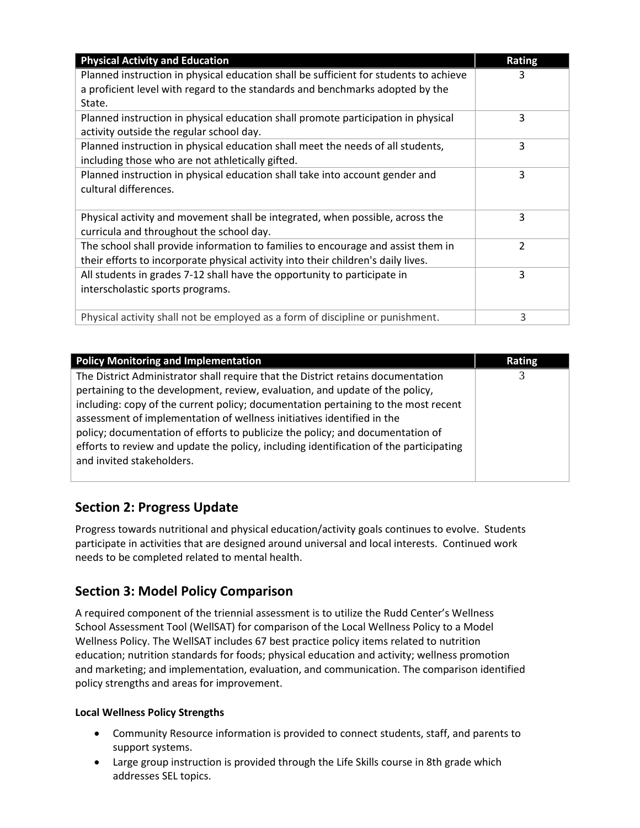| <b>Physical Activity and Education</b>                                                | <b>Rating</b>            |
|---------------------------------------------------------------------------------------|--------------------------|
| Planned instruction in physical education shall be sufficient for students to achieve | 3                        |
| a proficient level with regard to the standards and benchmarks adopted by the         |                          |
| State.                                                                                |                          |
| Planned instruction in physical education shall promote participation in physical     | 3                        |
| activity outside the regular school day.                                              |                          |
| Planned instruction in physical education shall meet the needs of all students,       | 3                        |
| including those who are not athletically gifted.                                      |                          |
| Planned instruction in physical education shall take into account gender and          | 3                        |
| cultural differences.                                                                 |                          |
|                                                                                       |                          |
| Physical activity and movement shall be integrated, when possible, across the         | 3                        |
| curricula and throughout the school day.                                              |                          |
| The school shall provide information to families to encourage and assist them in      | $\overline{\mathcal{L}}$ |
| their efforts to incorporate physical activity into their children's daily lives.     |                          |
| All students in grades 7-12 shall have the opportunity to participate in              | 3                        |
| interscholastic sports programs.                                                      |                          |
|                                                                                       |                          |
| Physical activity shall not be employed as a form of discipline or punishment.        | 3                        |

| <b>Policy Monitoring and Implementation</b>                                                                                                                                                                                                                                                                                                                                                                                                                                                                                               | <b>Rating</b> |
|-------------------------------------------------------------------------------------------------------------------------------------------------------------------------------------------------------------------------------------------------------------------------------------------------------------------------------------------------------------------------------------------------------------------------------------------------------------------------------------------------------------------------------------------|---------------|
| The District Administrator shall require that the District retains documentation<br>pertaining to the development, review, evaluation, and update of the policy,<br>including: copy of the current policy; documentation pertaining to the most recent<br>assessment of implementation of wellness initiatives identified in the<br>policy; documentation of efforts to publicize the policy; and documentation of<br>efforts to review and update the policy, including identification of the participating<br>and invited stakeholders. |               |

## **Section 2: Progress Update**

Progress towards nutritional and physical education/activity goals continues to evolve. Students participate in activities that are designed around universal and local interests. Continued work needs to be completed related to mental health.

## **Section 3: Model Policy Comparison**

A required component of the triennial assessment is to utilize the Rudd Center's Wellness School Assessment Tool (WellSAT) for comparison of the Local Wellness Policy to a Model Wellness Policy. The WellSAT includes 67 best practice policy items related to nutrition education; nutrition standards for foods; physical education and activity; wellness promotion and marketing; and implementation, evaluation, and communication. The comparison identified policy strengths and areas for improvement.

### **Local Wellness Policy Strengths**

- Community Resource information is provided to connect students, staff, and parents to support systems.
- Large group instruction is provided through the Life Skills course in 8th grade which addresses SEL topics.